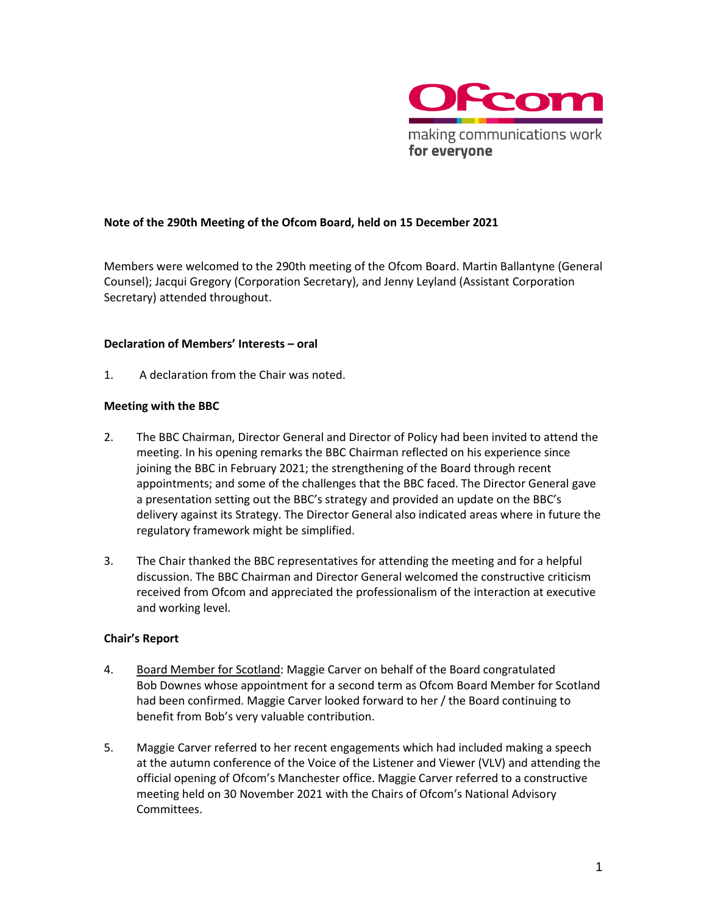

### **Note of the 290th Meeting of the Ofcom Board, held on 15 December 2021**

Members were welcomed to the 290th meeting of the Ofcom Board. Martin Ballantyne (General Counsel); Jacqui Gregory (Corporation Secretary), and Jenny Leyland (Assistant Corporation Secretary) attended throughout.

#### **Declaration of Members' Interests – oral**

1. A declaration from the Chair was noted.

#### **Meeting with the BBC**

- 2. The BBC Chairman, Director General and Director of Policy had been invited to attend the meeting. In his opening remarks the BBC Chairman reflected on his experience since joining the BBC in February 2021; the strengthening of the Board through recent appointments; and some of the challenges that the BBC faced. The Director General gave a presentation setting out the BBC's strategy and provided an update on the BBC's delivery against its Strategy. The Director General also indicated areas where in future the regulatory framework might be simplified.
- 3. The Chair thanked the BBC representatives for attending the meeting and for a helpful discussion. The BBC Chairman and Director General welcomed the constructive criticism received from Ofcom and appreciated the professionalism of the interaction at executive and working level.

### **Chair's Report**

- 4. Board Member for Scotland: Maggie Carver on behalf of the Board congratulated Bob Downes whose appointment for a second term as Ofcom Board Member for Scotland had been confirmed. Maggie Carver looked forward to her / the Board continuing to benefit from Bob's very valuable contribution.
- 5. Maggie Carver referred to her recent engagements which had included making a speech at the autumn conference of the Voice of the Listener and Viewer (VLV) and attending the official opening of Ofcom's Manchester office. Maggie Carver referred to a constructive meeting held on 30 November 2021 with the Chairs of Ofcom's National Advisory Committees.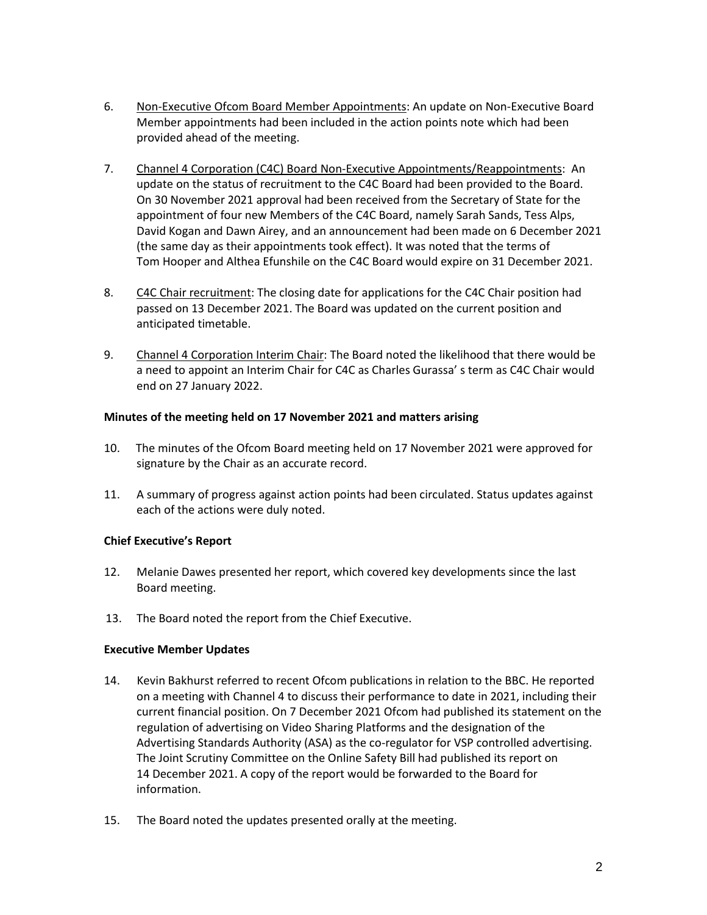- 6. Non-Executive Ofcom Board Member Appointments: An update on Non-Executive Board Member appointments had been included in the action points note which had been provided ahead of the meeting.
- 7. Channel 4 Corporation (C4C) Board Non-Executive Appointments/Reappointments: An update on the status of recruitment to the C4C Board had been provided to the Board. On 30 November 2021 approval had been received from the Secretary of State for the appointment of four new Members of the C4C Board, namely Sarah Sands, Tess Alps, David Kogan and Dawn Airey, and an announcement had been made on 6 December 2021 (the same day as their appointments took effect). It was noted that the terms of Tom Hooper and Althea Efunshile on the C4C Board would expire on 31 December 2021.
- 8. C4C Chair recruitment: The closing date for applications for the C4C Chair position had passed on 13 December 2021. The Board was updated on the current position and anticipated timetable.
- 9. Channel 4 Corporation Interim Chair: The Board noted the likelihood that there would be a need to appoint an Interim Chair for C4C as Charles Gurassa' s term as C4C Chair would end on 27 January 2022.

### **Minutes of the meeting held on 17 November 2021 and matters arising**

- 10. The minutes of the Ofcom Board meeting held on 17 November 2021 were approved for signature by the Chair as an accurate record.
- 11. A summary of progress against action points had been circulated. Status updates against each of the actions were duly noted.

# **Chief Executive's Report**

- 12. Melanie Dawes presented her report, which covered key developments since the last Board meeting.
- 13. The Board noted the report from the Chief Executive.

### **Executive Member Updates**

- 14. Kevin Bakhurst referred to recent Ofcom publications in relation to the BBC. He reported on a meeting with Channel 4 to discuss their performance to date in 2021, including their current financial position. On 7 December 2021 Ofcom had published its statement on the regulation of advertising on Video Sharing Platforms and the designation of the Advertising Standards Authority (ASA) as the co-regulator for VSP controlled advertising. The Joint Scrutiny Committee on the Online Safety Bill had published its report on 14 December 2021. A copy of the report would be forwarded to the Board for information.
- 15. The Board noted the updates presented orally at the meeting.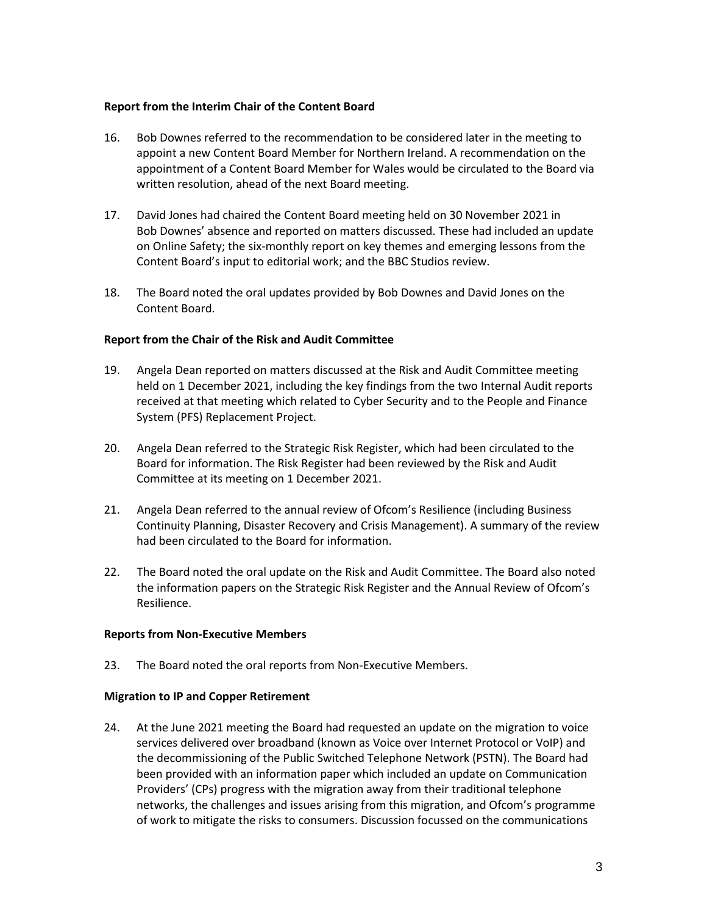#### **Report from the Interim Chair of the Content Board**

- 16. Bob Downes referred to the recommendation to be considered later in the meeting to appoint a new Content Board Member for Northern Ireland. A recommendation on the appointment of a Content Board Member for Wales would be circulated to the Board via written resolution, ahead of the next Board meeting.
- 17. David Jones had chaired the Content Board meeting held on 30 November 2021 in Bob Downes' absence and reported on matters discussed. These had included an update on Online Safety; the six-monthly report on key themes and emerging lessons from the Content Board's input to editorial work; and the BBC Studios review.
- 18. The Board noted the oral updates provided by Bob Downes and David Jones on the Content Board.

### **Report from the Chair of the Risk and Audit Committee**

- 19. Angela Dean reported on matters discussed at the Risk and Audit Committee meeting held on 1 December 2021, including the key findings from the two Internal Audit reports received at that meeting which related to Cyber Security and to the People and Finance System (PFS) Replacement Project.
- 20. Angela Dean referred to the Strategic Risk Register, which had been circulated to the Board for information. The Risk Register had been reviewed by the Risk and Audit Committee at its meeting on 1 December 2021.
- 21. Angela Dean referred to the annual review of Ofcom's Resilience (including Business Continuity Planning, Disaster Recovery and Crisis Management). A summary of the review had been circulated to the Board for information.
- 22. The Board noted the oral update on the Risk and Audit Committee. The Board also noted the information papers on the Strategic Risk Register and the Annual Review of Ofcom's Resilience.

#### **Reports from Non-Executive Members**

23. The Board noted the oral reports from Non-Executive Members.

### **Migration to IP and Copper Retirement**

24. At the June 2021 meeting the Board had requested an update on the migration to voice services delivered over broadband (known as Voice over Internet Protocol or VoIP) and the decommissioning of the Public Switched Telephone Network (PSTN). The Board had been provided with an information paper which included an update on Communication Providers' (CPs) progress with the migration away from their traditional telephone networks, the challenges and issues arising from this migration, and Ofcom's programme of work to mitigate the risks to consumers. Discussion focussed on the communications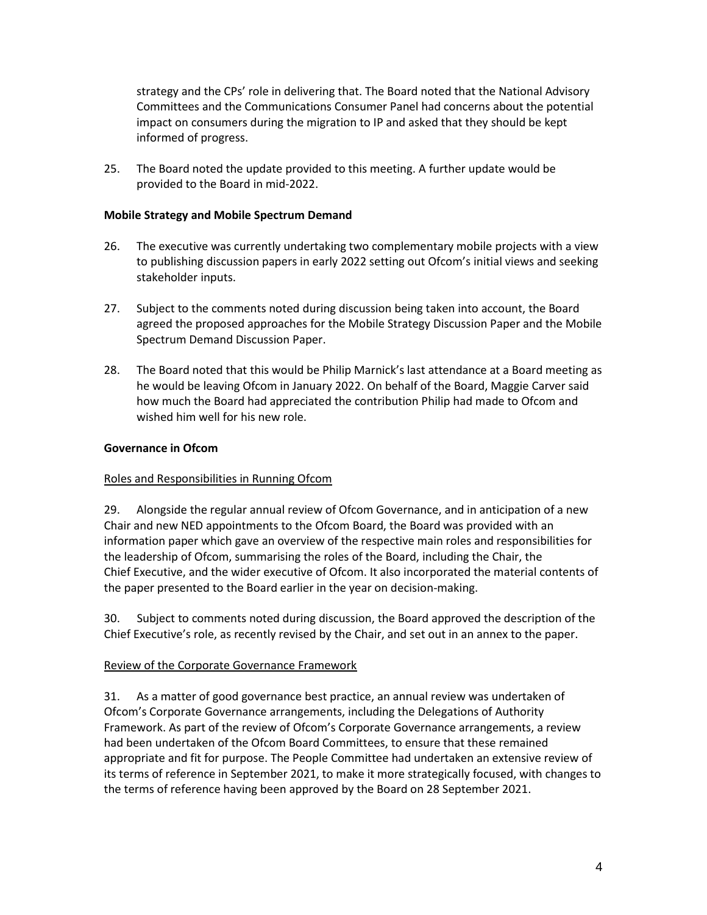strategy and the CPs' role in delivering that. The Board noted that the National Advisory Committees and the Communications Consumer Panel had concerns about the potential impact on consumers during the migration to IP and asked that they should be kept informed of progress.

25. The Board noted the update provided to this meeting. A further update would be provided to the Board in mid-2022.

### **Mobile Strategy and Mobile Spectrum Demand**

- 26. The executive was currently undertaking two complementary mobile projects with a view to publishing discussion papers in early 2022 setting out Ofcom's initial views and seeking stakeholder inputs.
- 27. Subject to the comments noted during discussion being taken into account, the Board agreed the proposed approaches for the Mobile Strategy Discussion Paper and the Mobile Spectrum Demand Discussion Paper.
- 28. The Board noted that this would be Philip Marnick's last attendance at a Board meeting as he would be leaving Ofcom in January 2022. On behalf of the Board, Maggie Carver said how much the Board had appreciated the contribution Philip had made to Ofcom and wished him well for his new role.

### **Governance in Ofcom**

# Roles and Responsibilities in Running Ofcom

29. Alongside the regular annual review of Ofcom Governance, and in anticipation of a new Chair and new NED appointments to the Ofcom Board, the Board was provided with an information paper which gave an overview of the respective main roles and responsibilities for the leadership of Ofcom, summarising the roles of the Board, including the Chair, the Chief Executive, and the wider executive of Ofcom. It also incorporated the material contents of the paper presented to the Board earlier in the year on decision-making.

30. Subject to comments noted during discussion, the Board approved the description of the Chief Executive's role, as recently revised by the Chair, and set out in an annex to the paper.

# Review of the Corporate Governance Framework

31. As a matter of good governance best practice, an annual review was undertaken of Ofcom's Corporate Governance arrangements, including the Delegations of Authority Framework. As part of the review of Ofcom's Corporate Governance arrangements, a review had been undertaken of the Ofcom Board Committees, to ensure that these remained appropriate and fit for purpose. The People Committee had undertaken an extensive review of its terms of reference in September 2021, to make it more strategically focused, with changes to the terms of reference having been approved by the Board on 28 September 2021.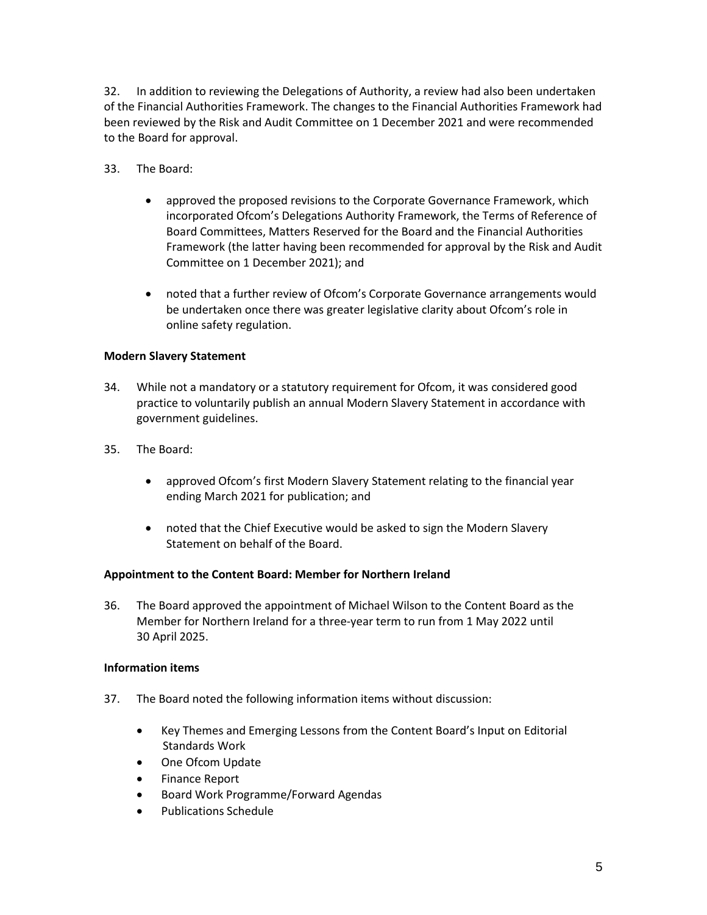32. In addition to reviewing the Delegations of Authority, a review had also been undertaken of the Financial Authorities Framework. The changes to the Financial Authorities Framework had been reviewed by the Risk and Audit Committee on 1 December 2021 and were recommended to the Board for approval.

- 33. The Board:
	- approved the proposed revisions to the Corporate Governance Framework, which incorporated Ofcom's Delegations Authority Framework, the Terms of Reference of Board Committees, Matters Reserved for the Board and the Financial Authorities Framework (the latter having been recommended for approval by the Risk and Audit Committee on 1 December 2021); and
	- noted that a further review of Ofcom's Corporate Governance arrangements would be undertaken once there was greater legislative clarity about Ofcom's role in online safety regulation.

### **Modern Slavery Statement**

- 34. While not a mandatory or a statutory requirement for Ofcom, it was considered good practice to voluntarily publish an annual Modern Slavery Statement in accordance with government guidelines.
- 35. The Board:
	- approved Ofcom's first Modern Slavery Statement relating to the financial year ending March 2021 for publication; and
	- noted that the Chief Executive would be asked to sign the Modern Slavery Statement on behalf of the Board.

### **Appointment to the Content Board: Member for Northern Ireland**

36. The Board approved the appointment of Michael Wilson to the Content Board as the Member for Northern Ireland for a three-year term to run from 1 May 2022 until 30 April 2025.

### **Information items**

- 37. The Board noted the following information items without discussion:
	- Key Themes and Emerging Lessons from the Content Board's Input on Editorial Standards Work
	- One Ofcom Update
	- Finance Report
	- Board Work Programme/Forward Agendas
	- Publications Schedule